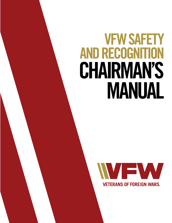# **VFW SAFETY AND RECOGNITION CHAIRMAN'S MANUAL**

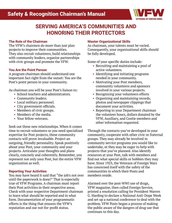

## **SERVING AMERICA'S COMMUNITIES AND HONORING THEIR PROTECTORS**

#### **The Role of the Chairman**

The VFW's chairmen do more than just plan projects to improve their communities. They also recruit volunteers, build relationships with community leaders, organize partnerships with civic groups and promote the VFW.

#### **You Are the Point Person**

A program chairman should understand one important fact right from the outset: You are the Post's point person in your community.

As chairman you will be your Post's liaison to:

- School teachers and administrators.
- Community leaders.
- Local military personnel.
- City government officials.
- Members of civic groups.
- Members of the media.
- Your fellow veterans.

Seek out these new relationships. When it comes time to recruit volunteers or you need specialized expertise for Post projects, these community contacts will prove invaluable. Project an outgoing, friendly personality. Speak positively about your Post, your community and your projects. Articulate your thoughts and plans clearly, concisely and coherently. Remember, you represent not only your Post, but the entire VFW organization as well.

#### **Reporting Your Activities**

You may have heard it said that "the job's not over until the paperwork is done!" That is especially true of VFW Programs. A chairman must report their Post activities in their respective areas. Check with your respective Department chairman to learn what should be reported and in what form. Documentation of your programmatic efforts is the thing that ensures the VFW's reputation and our not-for-profit status.

#### **Master Organizational Skills**

As chairman, your talents must be varied. Consequently, your organizational skills should be fully developed.

Some of your specific duties include:

- Recruiting and maintaining a pool of active volunteers.
- Identifying and initiating programs needed in your community.
- Motivating your Post members, community volunteers and sponsors involved in your various projects.
- Recognizing your volunteers efforts
- Organizing and maintaining records, photos and newspaper clippings that document your activities.
- Reporting to your Department chairman the volunteer hours, dollars donated by the VFW, Auxiliary, and Cootie members and other information requested.

Through the contacts you've developed in your community, cooperate with other civic or fraternal groups. They may already be involved in community service programs you would like to undertake, or they may be eager to help with projects that you've planned. Also identify resources at your Post, talk with members and find out what special skills or hobbies they may have. Since 1923, the Veterans of Foreign Wars has concerned itself with the safety of the communities in which their Posts and members reside.

Alarmed over the post-WWI use of drugs, VFW magazine, then called Foreign Service, printed a resolution calling for President Warren G. Harding to declare a National Anti-Dope Week and set up a national conference to deal with the problem. VFW Posts began a process of making the public aware of the dangers of drug use that continues to this day.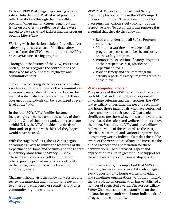Early on, VFW Posts began sponsoring bicycle safety clubs. In 1962, Posts started providing reflective stickers through the Lite-a-Bike program. When manufacturers began putting lights on bicycles, the reflective stickers were moved to backpacks and jackets and the program became Lite-a-Tike.

Working with the National Safety Council, driver safety programs were part of the first safety efforts. Later the VFW began to promote AARP's 55 Alive/Mature Driving program.

Throughout the history of the VFW, Posts have been quick to recognize the contributions of those who make our homes, highways and communities safer.

Today, VFW Posts regularly honor citizens who save lives and those who serve the community as emergency responders. A special section in this manual is dedicated to the ways in which these courageous individuals can be recognized at every level of the VFW.

In the late 1970s, VFW families became increasingly concerned about the safety of their children. One of the first organizations to create a child ID kit, the VFW provided hundreds of thousands of parents with this tool they hoped would never be used.

With the tragedy of 9/11, the VFW has begun encouraging Posts to utilize the resources of the Department of Homeland Security and the Federal Emergency Management Agency (FEMA). These organizations, as well as hundreds of others, provide printed materials about safety in the home, community, while traveling, almost anywhere.

Chairmen should visit the following websites and review the materials and information relevant to almost any emergency or security situation a community might encounter:

*[fema.gov](http://fema.gov) [dhs.gov](http://dhs.gov)*

VFW Post, District and Department Safety Chairmen play a vital role in the VFW's impact on our communities. They are responsible for overseeing the various safety programs at their respective level. To accomplish this purpose it is essential that they do the following:

- Read and understand all Safety Program materials.
- Maintain a working knowledge of all program aspects so as to be the authority on the Safety Program.
- Promote the execution of Safety Programs at their respective Post, District or Department levels.
- Provide timely and accurate program activity reports of Safety Program activities at their level.

#### **VFW Recognition Program**

The purpose of the VFW Recognition Program is twofold. First and foremost, as an organization of wartime veterans and their spouses, the VFW and Auxiliary understand the need to recognize and honor those individuals who have performed above and beyond their peers. Of particular significance are those who, like wartime veterans, have placed the safety and welfare of others above their own. Secondly, the VFW and its Auxiliary realize the value of these awards to the Post, District, Department and National organization. Recognizing worthy individuals makes the public aware of the VFW and Auxiliary and increases the public's respect and appreciation for these organizations. That increased respect and appreciation results in greater public support for these organizations and membership growth.

For those reasons, it is important that VFW and Auxiliary leaders at every level take advantage of every opportunity to honor worthy individuals and sometimes organizations. With that in mind, the VFW National organization has established a number of suggested awards. The Post/Auxiliary Safety Chairman should constantly be on the lookout for opportunities to honor individuals of all ages in the community.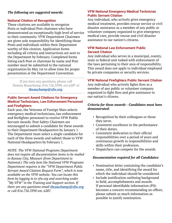#### *The following are suggested awards:*

#### **National Citation of Recognition**

These citations are available to recognize Posts or individual Post chairmen who have demonstrated an exceptionally high level of service to their community. VFW Department Chairmen are given sole responsibility for identifying those Posts and individuals within their Department worthy of this citation. Application forms including all criteria and instructions are sent to the Department by February. Completed forms listing each Post or chairman by name and Post number must be submitted to the national organization by May 1st to allow time for proper presentation at the Department Convention.

*If you have any questions, please call Tammy Beauchamp, 816.756.3390, ext 6287 or [tbeauchamp@vfw.org](mailto:tbeauchamp%40vfw.org?subject=VFW%20Safety%20and%20Recognition%20Manual%20Question).*

#### **Public Servant Award Citations for Emergency Medical Technicians, Law Enforcement Personnel and Firefighters**

Each year, the Veterans of Foreign Wars selects emergency medical technicians, law enforcement and firefighter personnel to receive VFW Public Servant Awards. Post Safety Chairmen are encouraged to submit a candidate for these awards to their Department Headquarters by January 1. The Department must select a single candidate for each of the three awards and submit those to VFW National Headquarters by February 1.

*NOTE: The VFW National Programs Department does not require all documentation items to be mailed to Kansas City, Missouri (from Department to National.) The only item the National VFW Programs Department requires is the "VFW Department Public Servant Award Citation Request Form", which is now available on the VFW website. You can locate this form by logging in to vfw.org and searching under "My VFW" in the Training and Support section. If there are any questions email [tbeauchamp@vfw.org](mailto:tbeauchamp%40vfw.org?subject=VFW%20Safety%20and%20Recognition%20Manual%20Question) or call 816.756.3390 ext. 6287.*

#### **VFW National Emergency Medical Technician Public Servant Citation**

Any individual, who actively gives emergency medical treatment, provides rescue service or civil disaster assistance as a member of any public or volunteer company organized to give emergency medical care, provide rescue and civil disaster assistance to our nation's citizens.

#### **VFW National Law Enforcement Public Servant Citation**

Any individual who serves in a municipal, county, state or federal unit tasked with enforcement of the laws pertaining to their area of responsibility. This award does not apply to individual employed by private companies or security services.

#### **VFW National Firefighters Public Servant Citation**

Any individual who actively fights fires as a member of any public or volunteer company organized to fight fires and give assistance to our nation's citizens.

#### *Criteria for these awards - Candidates must have demonstrated:*

- Recognition by their colleagues or those they serve.
- Consistent excellence in the performance of their duties.
- Consistent dedication to their official responsibilities over a period of years and continuous growth in responsibilities and skills within their profession.
- Dispatchers can compete for the awards.

#### *Documentation required for all Candidates:*

- Nomination letter containing the candidate's name, title, and identifying the award for which the individual should be considered.
- Include justification outlining background in field, accomplishments and awards. If personal identifiable information (PII) becomes a concern recommending an officer, please submit as much information as possible to justify nomination.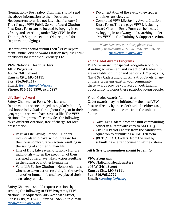Nomination – Post Safety Chairmen should send the above information to their Department Headquarters to arrive not later than January 1. The (1) page VFW Public Servant Award Citation Post Entry Form can be located by logging in to vfw.org and searching under "My VFW" in the Training & Support section. (Not required for Department judging.)

Departments should submit their "VFW Department Public Servant Award Citation Request Form" on vfw.org no later than February 1 to:

**VFW National Headquarters Attn: Programs 406 W. 34th Street Kansas City, MO 64111 Fax: 816.968.2779 Email:** *[tbeauchamp@vfw.org](mailto:tbeauchamp%40vfw.org?subject=VFW%20Safety%20and%20Recognition%20Manual%20Question)* **Phone: 816.756.3390, ext. 6287**

#### **Life Saving Award**

Safety Chairmen at Posts, Districts and Departments are encouraged to regularly identify and honor individuals throughout the year in their geographic area who have saved a life. The VFW National Programs office provides the following three different citations, free of charge, for local presentation.

- Regular Life Saving Citation Honors individuals who have, without regard for their own comfort, taken action resulting in the saving of another human life.
- Line of Duty Life Saving Citation Honors individuals who, in the execution of their assigned duties, have taken action resulting in the saving of another human life.
- Valor Life Saving Citation Honors civilians who have taken action resulting in the saving of another human life and have placed their own safety at risk.

Safety Chairmen should request citations by sending the following to VFW Programs, VFW National Headquarters, 406 West 34th Street, Kansas City, MO 64111, fax: 816.968.2779, e-mail *[tbeauchamp@vfw.org](mailto:tbeauchamp%40vfw.org?subject=VFW%20Safety%20and%20Recognition%20Manual%20Question).*

- Documentation of the event newspaper clippings, articles, etc.
- Completed VFW Life Saving Award Citation Entry Form. The (1) page VFW Life Saving Award Citation Entry Form can be located by logging in to vfw.org and searching under "My VFW" in the Training & Support section.

*If you have any questions, please call Tammy Beauchamp, 816.756.3390, ext 6287 or [tbeauchamp@vfw.org](mailto:tbeauchamp%40vfw.org?subject=VFW%20Safety%20and%20Recognition%20Manual%20Question).*

#### **Youth Cadet Awards Programs**

The VFW awards for special recognition of outstanding achievement and exceptional leadership are available for Junior and Senior ROTC programs, Naval Sea Cadets and Civil Air Patrol Cadets. If any of these programs exist in your community, these awards provide your Post an outstanding opportunity to honor these patriotic young people.

Youth Cadet Awards Administration Cadet awards may be initiated by the local VFW Post or directly by the cadet's unit. In either case, documentation should come from the unit as follows:

- Naval Sea Cadets: from the unit commanding officer in a letter with copy to NSCC HQ.
- Civil Air Patrol Cadets: from the candidate's squadron by submitting a CAP-120 form.
- JROTC/SROTC Cadets: from the unit by submitting a letter documenting the criteria.

#### *All letters of nomination should be sent to:*

**VFW Programs VFW National Headquarters 406 W. 34th Street Kansas City, MO 64111 Fax: 816.968.2779 Email:** *[scouting@vfw.org](mailto:scouting%40vfw.org?subject=Scouting%20Letter%20of%20Nomination)*